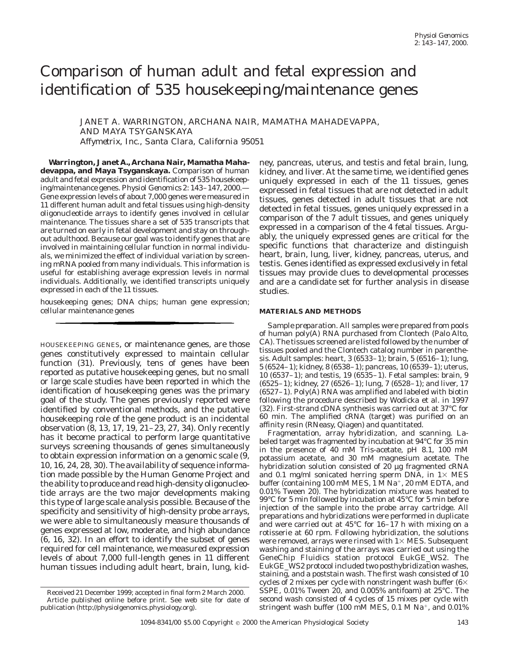# Comparison of human adult and fetal expression and identification of 535 housekeeping/maintenance genes

JANET A. WARRINGTON, ARCHANA NAIR, MAMATHA MAHADEVAPPA, AND MAYA TSYGANSKAYA *Affymetrix, Inc., Santa Clara, California 95051*

**Warrington, Janet A., Archana Nair, Mamatha Mahadevappa, and Maya Tsyganskaya.** Comparison of human adult and fetal expression and identification of 535 housekeeping/maintenance genes. *Physiol Genomics* 2: 143–147, 2000.— Gene expression levels of about 7,000 genes were measured in 11 different human adult and fetal tissues using high-density oligonucleotide arrays to identify genes involved in cellular maintenance. The tissues share a set of 535 transcripts that are turned on early in fetal development and stay on throughout adulthood. Because our goal was to identify genes that are involved in maintaining cellular function in normal individuals, we minimized the effect of individual variation by screening mRNA pooled from many individuals. This information is useful for establishing average expression levels in normal individuals. Additionally, we identified transcripts uniquely expressed in each of the 11 tissues.

housekeeping genes; DNA chips; human gene expression; cellular maintenance genes

HOUSEKEEPING GENES, or maintenance genes, are those genes constitutively expressed to maintain cellular function (31). Previously, tens of genes have been reported as putative housekeeping genes, but no small or large scale studies have been reported in which the identification of housekeeping genes was the primary goal of the study. The genes previously reported were identified by conventional methods, and the putative housekeeping role of the gene product is an incidental observation (8, 13, 17, 19, 21–23, 27, 34). Only recently has it become practical to perform large quantitative surveys screening thousands of genes simultaneously to obtain expression information on a genomic scale (9, 10, 16, 24, 28, 30). The availability of sequence information made possible by the Human Genome Project and the ability to produce and read high-density oligonucleotide arrays are the two major developments making this type of large scale analysis possible. Because of the specificity and sensitivity of high-density probe arrays, we were able to simultaneously measure thousands of genes expressed at low, moderate, and high abundance (6, 16, 32). In an effort to identify the subset of genes required for cell maintenance, we measured expression levels of about 7,000 full-length genes in 11 different human tissues including adult heart, brain, lung, kidney, pancreas, uterus, and testis and fetal brain, lung, kidney, and liver. At the same time, we identified genes uniquely expressed in each of the 11 tissues, genes expressed in fetal tissues that are not detected in adult tissues, genes detected in adult tissues that are not detected in fetal tissues, genes uniquely expressed in a comparison of the 7 adult tissues, and genes uniquely expressed in a comparison of the 4 fetal tissues. Arguably, the uniquely expressed genes are critical for the specific functions that characterize and distinguish heart, brain, lung, liver, kidney, pancreas, uterus, and testis. Genes identified as expressed exclusively in fetal tissues may provide clues to developmental processes and are a candidate set for further analysis in disease studies.

## **MATERIALS AND METHODS**

*Sample preparation.* All samples were prepared from pools of human poly(A) RNA purchased from Clontech (Palo Alto, CA). The tissues screened are listed followed by the number of tissues pooled and the Clontech catalog number in parenthesis. Adult samples: heart, 3 (6533–1); brain, 5 (6516–1); lung, 5 (6524–1); kidney, 8 (6538–1); pancreas, 10 (6539–1); uterus, 10 (6537–1); and testis, 19 (6535–1). Fetal samples: brain, 9 (6525–1); kidney, 27 (6526–1); lung, 7 (6528–1); and liver, 17 (6527–1). Poly(A) RNA was amplified and labeled with biotin following the procedure described by Wodicka et al. in 1997 (32). First-strand cDNA synthesis was carried out at 37°C for 60 min. The amplified cRNA (target) was purified on an affinity resin (RNeasy, Qiagen) and quantitated.

*Fragmentation, array hybridization, and scanning.* Labeled target was fragmented by incubation at 94°C for 35 min in the presence of 40 mM Tris-acetate, pH 8.1, 100 mM potassium acetate, and 30 mM magnesium acetate. The hybridization solution consisted of 20 µg fragmented cRNA and 0.1 mg/ml sonicated herring sperm DNA, in  $1\times$  MES buffer (containing 100 mM MES,  $1$  M Na<sup>+</sup>, 20 mM EDTA, and 0.01% Tween 20). The hybridization mixture was heated to 99°C for 5 min followed by incubation at 45°C for 5 min before injection of the sample into the probe array cartridge. All preparations and hybridizations were performed in duplicate and were carried out at 45°C for 16–17 h with mixing on a rotisserie at 60 rpm. Following hybridization, the solutions were removed, arrays were rinsed with  $1\times$  MES. Subsequent washing and staining of the arrays was carried out using the GeneChip Fluidics station protocol EukGE\_WS2. The EukGE\_WS2 protocol included two posthybridization washes, staining, and a poststain wash. The first wash consisted of 10 cycles of 2 mixes per cycle with nonstringent wash buffer (6 $\times$ SSPE, 0.01% Tween 20, and 0.005% antifoam) at 25°C. The second wash consisted of 4 cycles of 15 mixes per cycle with stringent wash buffer (100 mM MES, 0.1 M Na<sup>+</sup>, and 0.01%)

Received 21 December 1999; accepted in final form 2 March 2000. Article published online before print. See web site for date of publication (http://physiolgenomics.physiology.org).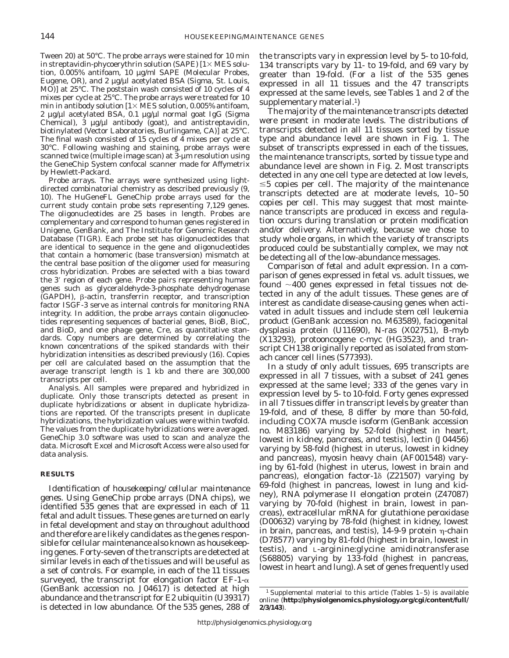Tween 20) at 50°C. The probe arrays were stained for 10 min in streptavidin-phycoerythrin solution (SAPE)  $[1 \times MES]$  solution, 0.005% antifoam, 10 µg/ml SAPE (Molecular Probes, Eugene, OR), and 2 µg/µl acetylated BSA (Sigma, St. Louis, MO)] at 25°C. The poststain wash consisted of 10 cycles of 4 mixes per cycle at 25°C. The probe arrays were treated for 10 min in antibody solution  $[1 \times \text{MES}$  solution, 0.005% antifoam, 2 µg/µl acetylated BSA, 0.1 µg/µl normal goat IgG (Sigma Chemical),  $\tilde{3}$  µg/µl antibody (goat), and antistreptavidin, biotinylated (Vector Laboratories, Burlingame, CA)] at 25°C. The final wash consisted of 15 cycles of 4 mixes per cycle at 30°C. Following washing and staining, probe arrays were scanned twice (multiple image scan) at  $3$ -µm resolution using the GeneChip System confocal scanner made for Affymetrix by Hewlett-Packard.

*Probe arrays.* The arrays were synthesized using lightdirected combinatorial chemistry as described previously (9, 10). The HuGeneFL GeneChip probe arrays used for the current study contain probe sets representing 7,129 genes. The oligonucleotides are 25 bases in length. Probes are complementary and correspond to human genes registered in Unigene, GenBank, and The Institute for Genomic Research Database (TIGR). Each probe set has oligonucleotides that are identical to sequence in the gene and oligonucleotides that contain a homomeric (base transversion) mismatch at the central base position of the oligomer used for measuring cross hybridization. Probes are selected with a bias toward the 3' region of each gene. Probe pairs representing human genes such as glyceraldehyde-3-phosphate dehydrogenase (GAPDH), β-actin, transferrin receptor, and transcription factor ISGF-3 serve as internal controls for monitoring RNA integrity. In addition, the probe arrays contain oligonucleotides representing sequences of bacterial genes, BioB, BioC, and BioD, and one phage gene, Cre, as quantitative standards. Copy numbers are determined by correlating the known concentrations of the spiked standards with their hybridization intensities as described previously (16). Copies per cell are calculated based on the assumption that the average transcript length is 1 kb and there are 300,000 transcripts per cell.

*Analysis.* All samples were prepared and hybridized in duplicate. Only those transcripts detected as present in duplicate hybridizations or absent in duplicate hybridizations are reported. Of the transcripts present in duplicate hybridizations, the hybridization values were within twofold. The values from the duplicate hybridizations were averaged. GeneChip 3.0 software was used to scan and analyze the data. Microsoft Excel and Microsoft Access were also used for data analysis.

## **RESULTS**

*Identification of housekeeping/cellular maintenance genes.* Using GeneChip probe arrays (DNA chips), we identified 535 genes that are expressed in each of 11 fetal and adult tissues. These genes are turned on early in fetal development and stay on throughout adulthood and therefore are likely candidates as the genes responsible for cellular maintenance also known as housekeeping genes. Forty-seven of the transcripts are detected at similar levels in each of the tissues and will be useful as a set of controls. For example, in each of the 11 tissues surveyed, the transcript for elongation factor  $E_{\text{F-1-\alpha}}$ (GenBank accession no. J04617) is detected at high abundance and the transcript for E2 ubiquitin (U39317) is detected in low abundance. Of the 535 genes, 288 of the transcripts vary in expression level by 5- to 10-fold, 134 transcripts vary by 11- to 19-fold, and 69 vary by greater than 19-fold. (For a list of the 535 genes expressed in all 11 tissues and the 47 transcripts expressed at the same levels, see Tables 1 and 2 of the supplementary material.<sup>1</sup>)

*The majority of the maintenance transcripts detected were present in moderate levels.* The distributions of transcripts detected in all 11 tissues sorted by tissue type and abundance level are shown in Fig. 1. The subset of transcripts expressed in each of the tissues, the maintenance transcripts, sorted by tissue type and abundance level are shown in Fig. 2. Most transcripts detected in any one cell type are detected at low levels,  $\leq$  5 copies per cell. The majority of the maintenance transcripts detected are at moderate levels, 10–50 copies per cell. This may suggest that most maintenance transcripts are produced in excess and regulation occurs during translation or protein modification and/or delivery. Alternatively, because we chose to study whole organs, in which the variety of transcripts produced could be substantially complex, we may not be detecting all of the low-abundance messages.

*Comparison of fetal and adult expression.* In a comparison of genes expressed in fetal vs. adult tissues, we found  $\sim$ 400 genes expressed in fetal tissues not detected in any of the adult tissues. These genes are of interest as candidate disease-causing genes when activated in adult tissues and include stem cell leukemia product (GenBank accession no. M63589), faciogenital dysplasia protein (U11690), N-ras (X02751), B-myb (X13293), protooncogene c-myc (HG3523), and transcript CH138 originally reported as isolated from stomach cancer cell lines (S77393).

In a study of only adult tissues, 695 transcripts are expressed in all 7 tissues, with a subset of 241 genes expressed at the same level; 333 of the genes vary in expression level by 5- to 10-fold. Forty genes expressed in all 7 tissues differ in transcript levels by greater than 19-fold, and of these, 8 differ by more than 50-fold, including COX7A muscle isoform (GenBank accession no. M83186) varying by 52-fold (highest in heart, lowest in kidney, pancreas, and testis), lectin (J04456) varying by 58-fold (highest in uterus, lowest in kidney and pancreas), myosin heavy chain (AF001548) varying by 61-fold (highest in uterus, lowest in brain and pancreas), elongation factor-1 $\delta$  (Z21507) varying by 69-fold (highest in pancreas, lowest in lung and kidney), RNA polymerase II elongation protein (Z47087) varying by 70-fold (highest in brain, lowest in pancreas), extracellular mRNA for glutathione peroxidase (D00632) varying by 78-fold (highest in kidney, lowest in brain, pancreas, and testis),  $14-9-9$  protein  $\eta$ -chain (D78577) varying by 81-fold (highest in brain, lowest in testis), and L-arginine:glycine amidinotransferase (S68805) varying by 133-fold (highest in pancreas, lowest in heart and lung). A set of genes frequently used

<sup>&</sup>lt;sup>1</sup> Supplemental material to this article (Tables  $1-5$ ) is available online (**http://physiolgenomics.physiology.org/cgi/content/full/ 2/3/143**).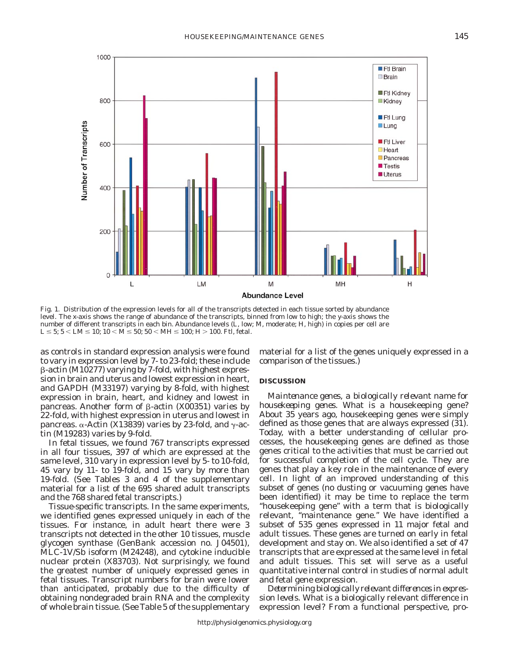

Fig. 1. Distribution of the expression levels for all of the transcripts detected in each tissue sorted by abundance level. The *x*-axis shows the range of abundance of the transcripts, binned from low to high; the *y*-axis shows the number of different transcripts in each bin. Abundance levels (L, low; M, moderate; H, high) in copies per cell are  $L \le 5$ ;  $5 < LM \le 10$ ;  $10 < M \le 50$ ;  $50 < MH \le 100$ ;  $H > 100$ . Ftl, fetal.

as controls in standard expression analysis were found to vary in expression level by 7- to 23-fold; these include b-actin (M10277) varying by 7-fold, with highest expression in brain and uterus and lowest expression in heart, and GAPDH (M33197) varying by 8-fold, with highest expression in brain, heart, and kidney and lowest in pancreas. Another form of  $\beta$ -actin (X00351) varies by 22-fold, with highest expression in uterus and lowest in pancreas.  $\alpha$ -Actin (X13839) varies by 23-fold, and  $\gamma$ -actin (M19283) varies by 9-fold.

In fetal tissues, we found 767 transcripts expressed in all four tissues, 397 of which are expressed at the same level, 310 vary in expression level by 5- to 10-fold, 45 vary by 11- to 19-fold, and 15 vary by more than 19-fold. (See Tables 3 and 4 of the supplementary material for a list of the 695 shared adult transcripts and the 768 shared fetal transcripts.)

*Tissue-specific transcripts.* In the same experiments, we identified genes expressed uniquely in each of the tissues. For instance, in adult heart there were 3 transcripts not detected in the other 10 tissues, muscle glycogen synthase (GenBank accession no. J04501), MLC-1V/Sb isoform (M24248), and cytokine inducible nuclear protein (X83703). Not surprisingly, we found the greatest number of uniquely expressed genes in fetal tissues. Transcript numbers for brain were lower than anticipated, probably due to the difficulty of obtaining nondegraded brain RNA and the complexity of whole brain tissue. (See Table 5 of the supplementary material for a list of the genes uniquely expressed in a comparison of the tissues.)

#### **DISCUSSION**

*Maintenance genes, a biologically relevant name for housekeeping genes.* What is a housekeeping gene? About 35 years ago, housekeeping genes were simply defined as those genes that are always expressed (31). Today, with a better understanding of cellular processes, the housekeeping genes are defined as those genes critical to the activities that must be carried out for successful completion of the cell cycle. They are genes that play a key role in the maintenance of every cell. In light of an improved understanding of this subset of genes (no dusting or vacuuming genes have been identified) it may be time to replace the term ''housekeeping gene'' with a term that is biologically relevant, ''maintenance gene.'' We have identified a subset of 535 genes expressed in 11 major fetal and adult tissues. These genes are turned on early in fetal development and stay on. We also identified a set of 47 transcripts that are expressed at the same level in fetal and adult tissues. This set will serve as a useful quantitative internal control in studies of normal adult and fetal gene expression.

*Determining biologically relevant differences in expression levels.* What is a biologically relevant difference in expression level? From a functional perspective, pro-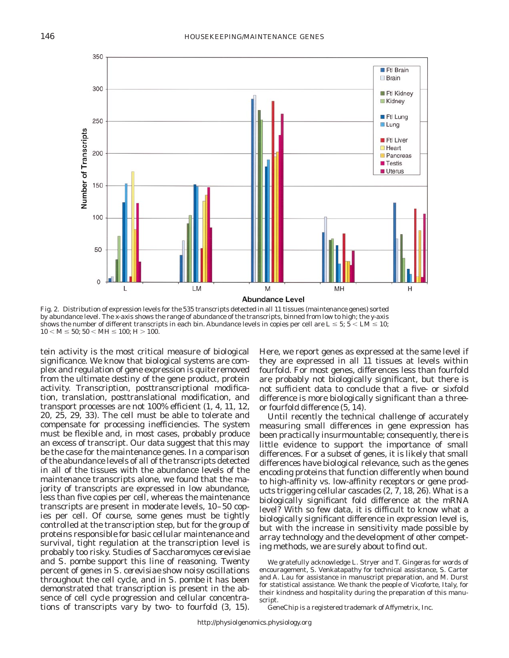

Fig. 2. Distribution of expression levels for the 535 transcripts detected in all 11 tissues (maintenance genes) sorted by abundance level. The *x*-axis shows the range of abundance of the transcripts, binned from low to high; the *y*-axis shows the number of different transcripts in each bin. Abundance levels in copies per cell are  $L \le 5$ ;  $5 < LM \le 10$ ;  $10 < M \le 50$ ;  $50 < MH \le 100$ ;  $H > 100$ .

tein activity is the most critical measure of biological significance. We know that biological systems are complex and regulation of gene expression is quite removed from the ultimate destiny of the gene product, protein activity. Transcription, posttranscriptional modification, translation, posttranslational modification, and transport processes are not 100% efficient (1, 4, 11, 12, 20, 25, 29, 33). The cell must be able to tolerate and compensate for processing inefficiencies. The system must be flexible and, in most cases, probably produce an excess of transcript. Our data suggest that this may be the case for the maintenance genes. In a comparison of the abundance levels of all of the transcripts detected in all of the tissues with the abundance levels of the maintenance transcripts alone, we found that the majority of transcripts are expressed in low abundance, less than five copies per cell, whereas the maintenance transcripts are present in moderate levels, 10–50 copies per cell. Of course, some genes must be tightly controlled at the transcription step, but for the group of proteins responsible for basic cellular maintenance and survival, tight regulation at the transcription level is probably too risky. Studies of *Saccharomyces cerevisiae* and *S. pombe* support this line of reasoning. Twenty percent of genes in *S. cerevisiae* show noisy oscillations throughout the cell cycle, and in *S. pombe* it has been demonstrated that transcription is present in the absence of cell cycle progression and cellular concentrations of transcripts vary by two- to fourfold (3, 15).

Here, we report genes as expressed at the same level if they are expressed in all 11 tissues at levels within fourfold. For most genes, differences less than fourfold are probably not biologically significant, but there is not sufficient data to conclude that a five- or sixfold difference is more biologically significant than a threeor fourfold difference (5, 14).

Until recently the technical challenge of accurately measuring small differences in gene expression has been practically insurmountable; consequently, there is little evidence to support the importance of small differences. For a subset of genes, it is likely that small differences have biological relevance, such as the genes encoding proteins that function differently when bound to high-affinity vs. low-affinity receptors or gene products triggering cellular cascades (2, 7, 18, 26). What is a biologically significant fold difference at the mRNA level? With so few data, it is difficult to know what a biologically significant difference in expression level is, but with the increase in sensitivity made possible by array technology and the development of other competing methods, we are surely about to find out.

We gratefully acknowledge L. Stryer and T. Gingeras for words of encouragement, S. Venkatapathy for technical assistance, S. Carter and A. Lau for assistance in manuscript preparation, and M. Durst for statistical assistance. We thank the people of Vicoforte, Italy, for their kindness and hospitality during the preparation of this manuscript.

GeneChip is a registered trademark of Affymetrix, Inc.